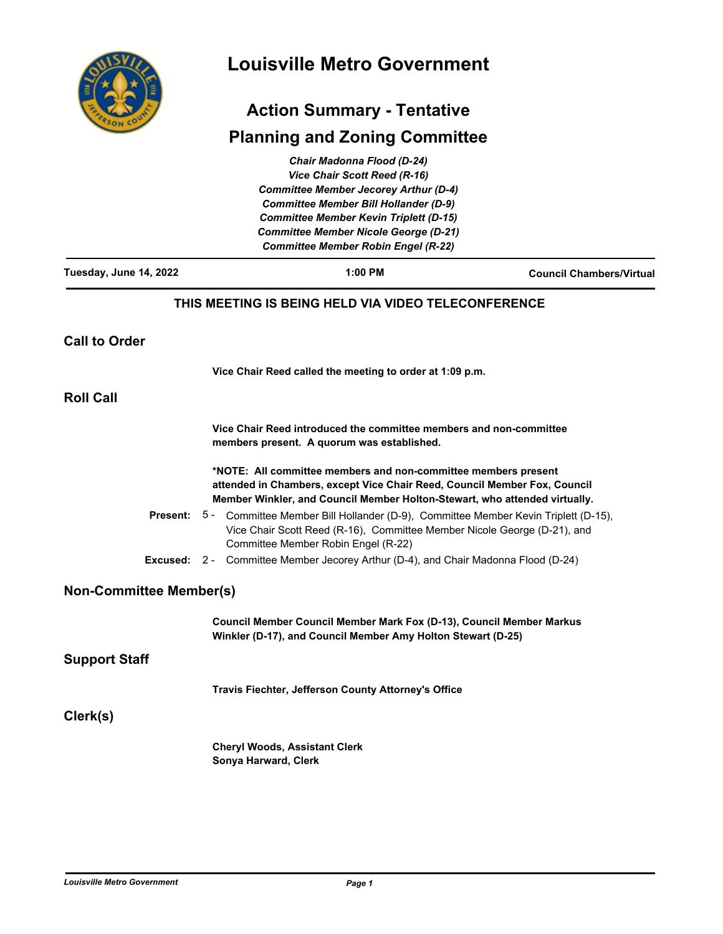

# **Louisville Metro Government**

# **Action Summary - Tentative**

# **Planning and Zoning Committee**

| Tuesday, June 14, 2022                                   | <b>Chair Madonna Flood (D-24)</b><br>Vice Chair Scott Reed (R-16)<br><b>Committee Member Jecorey Arthur (D-4)</b><br><b>Committee Member Bill Hollander (D-9)</b><br><b>Committee Member Kevin Triplett (D-15)</b><br><b>Committee Member Nicole George (D-21)</b><br><b>Committee Member Robin Engel (R-22)</b><br>1:00 PM | <b>Council Chambers/Virtual</b> |
|----------------------------------------------------------|-----------------------------------------------------------------------------------------------------------------------------------------------------------------------------------------------------------------------------------------------------------------------------------------------------------------------------|---------------------------------|
|                                                          |                                                                                                                                                                                                                                                                                                                             |                                 |
|                                                          | THIS MEETING IS BEING HELD VIA VIDEO TELECONFERENCE                                                                                                                                                                                                                                                                         |                                 |
| <b>Call to Order</b>                                     |                                                                                                                                                                                                                                                                                                                             |                                 |
| Vice Chair Reed called the meeting to order at 1:09 p.m. |                                                                                                                                                                                                                                                                                                                             |                                 |
| <b>Roll Call</b>                                         |                                                                                                                                                                                                                                                                                                                             |                                 |
|                                                          | Vice Chair Reed introduced the committee members and non-committee<br>members present. A quorum was established.                                                                                                                                                                                                            |                                 |
|                                                          | *NOTE: All committee members and non-committee members present<br>attended in Chambers, except Vice Chair Reed, Council Member Fox, Council<br>Member Winkler, and Council Member Holton-Stewart, who attended virtually.                                                                                                   |                                 |
|                                                          | Present: 5 - Committee Member Bill Hollander (D-9), Committee Member Kevin Triplett (D-15),<br>Vice Chair Scott Reed (R-16), Committee Member Nicole George (D-21), and<br>Committee Member Robin Engel (R-22)                                                                                                              |                                 |
|                                                          | <b>Excused:</b> 2 - Committee Member Jecorey Arthur (D-4), and Chair Madonna Flood (D-24)                                                                                                                                                                                                                                   |                                 |
| <b>Non-Committee Member(s)</b>                           |                                                                                                                                                                                                                                                                                                                             |                                 |
|                                                          | Council Member Council Member Mark Fox (D-13), Council Member Markus<br>Winkler (D-17), and Council Member Amy Holton Stewart (D-25)                                                                                                                                                                                        |                                 |
| <b>Support Staff</b>                                     |                                                                                                                                                                                                                                                                                                                             |                                 |
|                                                          | Travis Fiechter, Jefferson County Attorney's Office                                                                                                                                                                                                                                                                         |                                 |
| Clerk(s)                                                 |                                                                                                                                                                                                                                                                                                                             |                                 |
|                                                          | <b>Cheryl Woods, Assistant Clerk</b><br>Sonya Harward, Clerk                                                                                                                                                                                                                                                                |                                 |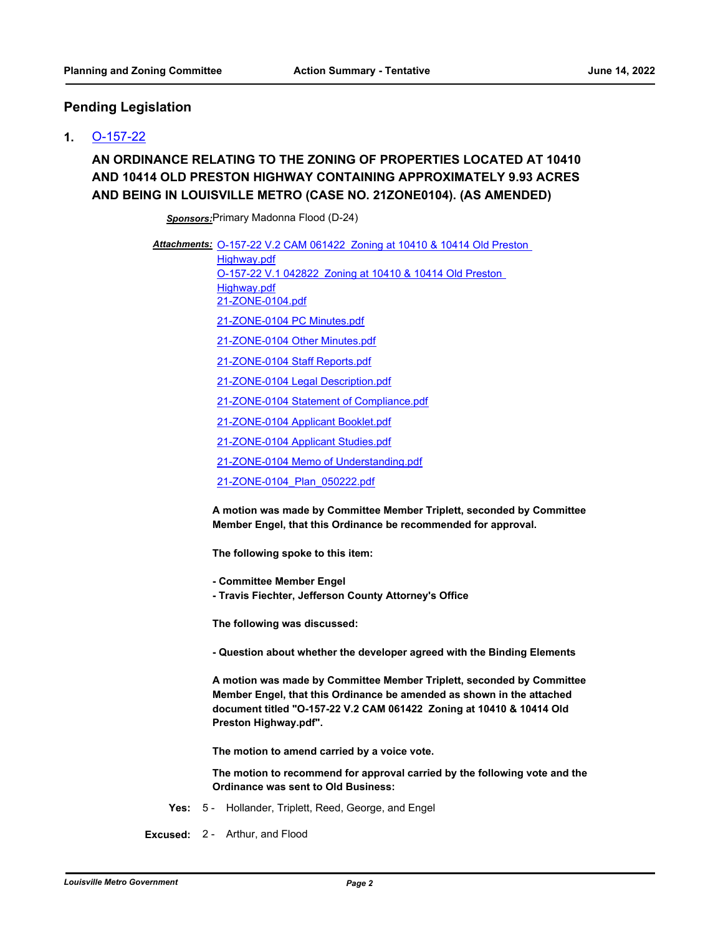### **Pending Legislation**

#### **1.** [O-157-22](http://louisville.legistar.com/gateway.aspx?m=l&id=/matter.aspx?key=60162)

# **AN ORDINANCE RELATING TO THE ZONING OF PROPERTIES LOCATED AT 10410 AND 10414 OLD PRESTON HIGHWAY CONTAINING APPROXIMATELY 9.93 ACRES AND BEING IN LOUISVILLE METRO (CASE NO. 21ZONE0104). (AS AMENDED)**

*Sponsors:*Primary Madonna Flood (D-24)

Attachments: O-157-22 V.2 CAM 061422 Zoning at 10410 & 10414 Old Preston Highway.pdf [O-157-22 V.1 042822 Zoning at 10410 & 10414 Old Preston](http://louisville.legistar.com/gateway.aspx?M=F&ID=02f64f74-79cf-41c5-811e-cc1953078df5.pdf)  Highway.pdf [21-ZONE-0104.pdf](http://louisville.legistar.com/gateway.aspx?M=F&ID=52ced228-306c-4ae1-a15d-dafe762f229d.pdf) [21-ZONE-0104 PC Minutes.pdf](http://louisville.legistar.com/gateway.aspx?M=F&ID=6c7c9b44-4a69-4a60-a7c2-a7b01d81a152.pdf) [21-ZONE-0104 Other Minutes.pdf](http://louisville.legistar.com/gateway.aspx?M=F&ID=faf76934-2034-4fa5-9fb9-4fc4de6b84f9.pdf) [21-ZONE-0104 Staff Reports.pdf](http://louisville.legistar.com/gateway.aspx?M=F&ID=0cbed3db-cdef-42fe-9fad-f28188cc47fc.pdf) [21-ZONE-0104 Legal Description.pdf](http://louisville.legistar.com/gateway.aspx?M=F&ID=e5264b5f-8211-46d1-ba14-c4c46fb79f3a.pdf) [21-ZONE-0104 Statement of Compliance.pdf](http://louisville.legistar.com/gateway.aspx?M=F&ID=5b22f31d-c227-446a-829c-1f81da081410.pdf) [21-ZONE-0104 Applicant Booklet.pdf](http://louisville.legistar.com/gateway.aspx?M=F&ID=e128f908-aed8-4200-b286-b5d7d905929a.pdf) [21-ZONE-0104 Applicant Studies.pdf](http://louisville.legistar.com/gateway.aspx?M=F&ID=2cd53431-41ee-4db3-96fb-d187ce57f79c.pdf) [21-ZONE-0104 Memo of Understanding.pdf](http://louisville.legistar.com/gateway.aspx?M=F&ID=5037a3fe-8cbb-4eeb-a0e4-86e32bc038d2.pdf) [21-ZONE-0104\\_Plan\\_050222.pdf](http://louisville.legistar.com/gateway.aspx?M=F&ID=ddd86d03-3e10-497f-811a-97d522e1a898.pdf)

> **A motion was made by Committee Member Triplett, seconded by Committee Member Engel, that this Ordinance be recommended for approval.**

**The following spoke to this item:**

- **Committee Member Engel**
- **Travis Fiechter, Jefferson County Attorney's Office**

**The following was discussed:**

**- Question about whether the developer agreed with the Binding Elements**

**A motion was made by Committee Member Triplett, seconded by Committee Member Engel, that this Ordinance be amended as shown in the attached document titled "O-157-22 V.2 CAM 061422 Zoning at 10410 & 10414 Old Preston Highway.pdf".**

**The motion to amend carried by a voice vote.**

**The motion to recommend for approval carried by the following vote and the Ordinance was sent to Old Business:**

**Yes:** 5 - Hollander, Triplett, Reed, George, and Engel

**Excused:** 2 - Arthur, and Flood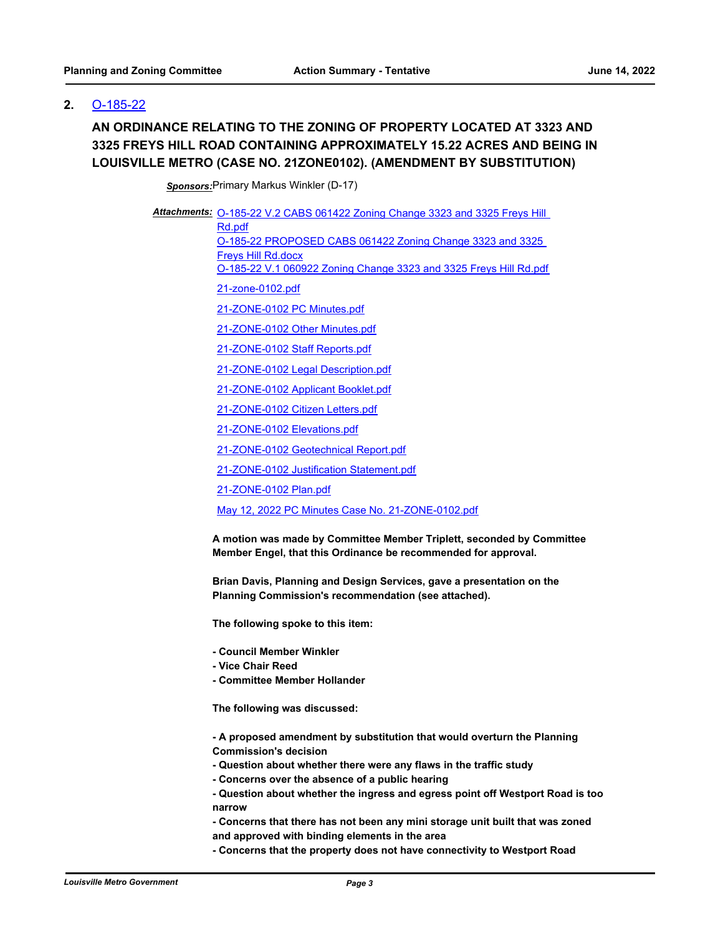## **2.** [O-185-22](http://louisville.legistar.com/gateway.aspx?m=l&id=/matter.aspx?key=60379)

# **AN ORDINANCE RELATING TO THE ZONING OF PROPERTY LOCATED AT 3323 AND 3325 FREYS HILL ROAD CONTAINING APPROXIMATELY 15.22 ACRES AND BEING IN LOUISVILLE METRO (CASE NO. 21ZONE0102). (AMENDMENT BY SUBSTITUTION)**

*Sponsors:*Primary Markus Winkler (D-17)

Attachments: **O-185-22 V.2 CABS 061422 Zoning Change 3323 and 3325 Freys Hill** Rd.pdf [O-185-22 PROPOSED CABS 061422 Zoning Change 3323 and 3325](http://louisville.legistar.com/gateway.aspx?M=F&ID=fdead144-0802-4dc9-807d-ed1f67ad7488.docx)  Freys Hill Rd.docx [O-185-22 V.1 060922 Zoning Change 3323 and 3325 Freys Hill Rd.pdf](http://louisville.legistar.com/gateway.aspx?M=F&ID=1504c444-fbe8-4daa-b8e9-ed7be68da526.pdf) [21-zone-0102.pdf](http://louisville.legistar.com/gateway.aspx?M=F&ID=5a912107-86c2-4c8d-befd-7d5da835fff6.pdf) [21-ZONE-0102 PC Minutes.pdf](http://louisville.legistar.com/gateway.aspx?M=F&ID=12ec4d1e-d551-4928-a366-de49cd90ad5f.pdf) [21-ZONE-0102 Other Minutes.pdf](http://louisville.legistar.com/gateway.aspx?M=F&ID=895ac4b2-36aa-41da-ade3-647b226f5d7f.pdf) [21-ZONE-0102 Staff Reports.pdf](http://louisville.legistar.com/gateway.aspx?M=F&ID=6bf17e5c-22be-475d-8831-a09237ee2b47.pdf) [21-ZONE-0102 Legal Description.pdf](http://louisville.legistar.com/gateway.aspx?M=F&ID=f5bdbdf1-b62c-4b29-9c4c-3a3fc451082a.pdf) [21-ZONE-0102 Applicant Booklet.pdf](http://louisville.legistar.com/gateway.aspx?M=F&ID=6e11d48d-0bc1-489f-bea4-1be92faed782.pdf) [21-ZONE-0102 Citizen Letters.pdf](http://louisville.legistar.com/gateway.aspx?M=F&ID=1314052f-ccb8-4d71-b075-04ec9762661a.pdf) [21-ZONE-0102 Elevations.pdf](http://louisville.legistar.com/gateway.aspx?M=F&ID=b263b6b2-122e-4c50-ac78-95f1979a39f0.pdf)

[21-ZONE-0102 Geotechnical Report.pdf](http://louisville.legistar.com/gateway.aspx?M=F&ID=74518cd4-9fae-487b-81cf-9628db6c452c.pdf)

[21-ZONE-0102 Justification Statement.pdf](http://louisville.legistar.com/gateway.aspx?M=F&ID=37f8b81e-6e52-4a60-8287-dafd72aeef53.pdf)

[21-ZONE-0102 Plan.pdf](http://louisville.legistar.com/gateway.aspx?M=F&ID=00ad07a9-4da9-4be9-bcc2-73a5b5651003.pdf)

[May 12, 2022 PC Minutes Case No. 21-ZONE-0102.pdf](http://louisville.legistar.com/gateway.aspx?M=F&ID=e71092c6-9c1a-4b6a-a978-8f1d43e6d00e.pdf)

**A motion was made by Committee Member Triplett, seconded by Committee Member Engel, that this Ordinance be recommended for approval.**

**Brian Davis, Planning and Design Services, gave a presentation on the Planning Commission's recommendation (see attached).**

**The following spoke to this item:**

- **Council Member Winkler**
- **Vice Chair Reed**
- **Committee Member Hollander**

**The following was discussed:**

**- A proposed amendment by substitution that would overturn the Planning Commission's decision**

- **Question about whether there were any flaws in the traffic study**
- **Concerns over the absence of a public hearing**
- **Question about whether the ingress and egress point off Westport Road is too narrow**
- **Concerns that there has not been any mini storage unit built that was zoned and approved with binding elements in the area**
- **Concerns that the property does not have connectivity to Westport Road**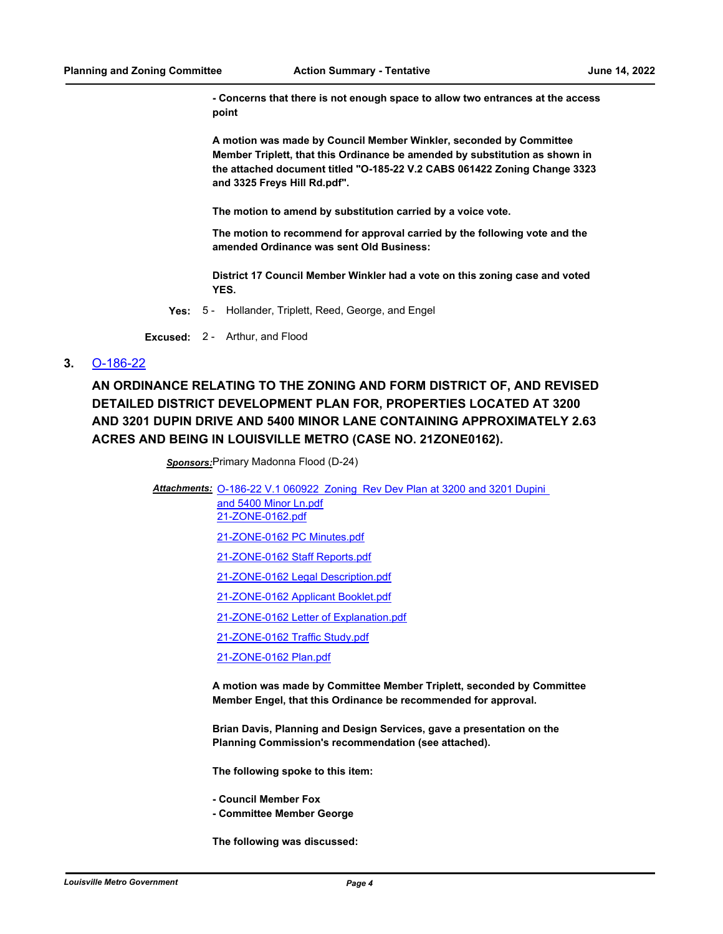**- Concerns that there is not enough space to allow two entrances at the access point**

**A motion was made by Council Member Winkler, seconded by Committee Member Triplett, that this Ordinance be amended by substitution as shown in the attached document titled "O-185-22 V.2 CABS 061422 Zoning Change 3323 and 3325 Freys Hill Rd.pdf".** 

**The motion to amend by substitution carried by a voice vote.**

**The motion to recommend for approval carried by the following vote and the amended Ordinance was sent Old Business:**

**District 17 Council Member Winkler had a vote on this zoning case and voted YES.**

**Yes:** 5 - Hollander, Triplett, Reed, George, and Engel

**Excused:** 2 - Arthur, and Flood

#### **3.** [O-186-22](http://louisville.legistar.com/gateway.aspx?m=l&id=/matter.aspx?key=60380)

**AN ORDINANCE RELATING TO THE ZONING AND FORM DISTRICT OF, AND REVISED DETAILED DISTRICT DEVELOPMENT PLAN FOR, PROPERTIES LOCATED AT 3200 AND 3201 DUPIN DRIVE AND 5400 MINOR LANE CONTAINING APPROXIMATELY 2.63 ACRES AND BEING IN LOUISVILLE METRO (CASE NO. 21ZONE0162).**

*Sponsors:*Primary Madonna Flood (D-24)

Attachments: **O-186-22 V.1 060922 Zoning Rev Dev Plan at 3200 and 3201 Dupini** 

and 5400 Minor Ln.pdf [21-ZONE-0162.pdf](http://louisville.legistar.com/gateway.aspx?M=F&ID=b4fa7091-4e1d-47b0-a389-66fbdfd18300.pdf)

[21-ZONE-0162 PC Minutes.pdf](http://louisville.legistar.com/gateway.aspx?M=F&ID=04454aba-83ea-4567-b182-f7dc1dda4bee.pdf)

[21-ZONE-0162 Staff Reports.pdf](http://louisville.legistar.com/gateway.aspx?M=F&ID=80e34bd0-8c9b-474e-8005-a2167b409e79.pdf)

[21-ZONE-0162 Legal Description.pdf](http://louisville.legistar.com/gateway.aspx?M=F&ID=cce1ebd6-67a6-4ee7-a637-7419d7f4cc1f.pdf)

[21-ZONE-0162 Applicant Booklet.pdf](http://louisville.legistar.com/gateway.aspx?M=F&ID=e3d9a203-4bdd-4d06-aaf6-48b52c85af22.pdf)

[21-ZONE-0162 Letter of Explanation.pdf](http://louisville.legistar.com/gateway.aspx?M=F&ID=374004f2-bb99-479f-a510-3736234996b1.pdf)

[21-ZONE-0162 Traffic Study.pdf](http://louisville.legistar.com/gateway.aspx?M=F&ID=8d2ec7dd-ff88-4f9f-aa6a-cfbe2330f8c9.pdf)

[21-ZONE-0162 Plan.pdf](http://louisville.legistar.com/gateway.aspx?M=F&ID=0f6aedec-b0b3-4c6d-ba78-2d24802b6117.pdf)

**A motion was made by Committee Member Triplett, seconded by Committee Member Engel, that this Ordinance be recommended for approval.**

**Brian Davis, Planning and Design Services, gave a presentation on the Planning Commission's recommendation (see attached).**

**The following spoke to this item:**

**- Council Member Fox**

**- Committee Member George**

**The following was discussed:**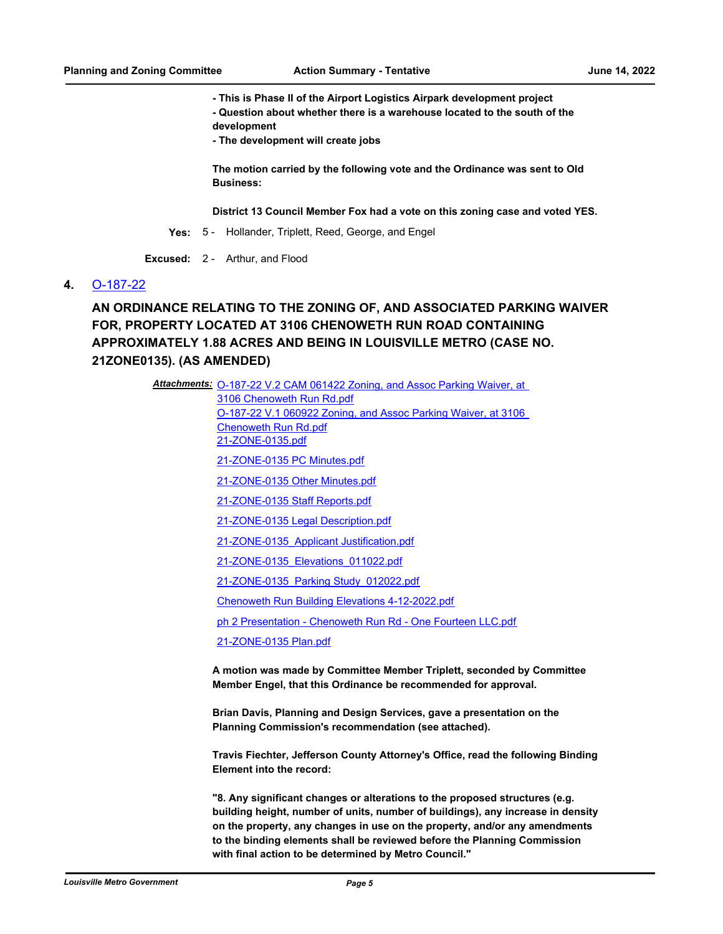**- This is Phase II of the Airport Logistics Airpark development project - Question about whether there is a warehouse located to the south of the development**

**- The development will create jobs**

**The motion carried by the following vote and the Ordinance was sent to Old Business:**

**District 13 Council Member Fox had a vote on this zoning case and voted YES.**

**Yes:** 5 - Hollander, Triplett, Reed, George, and Engel

**Excused:** 2 - Arthur, and Flood

#### **4.** [O-187-22](http://louisville.legistar.com/gateway.aspx?m=l&id=/matter.aspx?key=60381)

**AN ORDINANCE RELATING TO THE ZONING OF, AND ASSOCIATED PARKING WAIVER FOR, PROPERTY LOCATED AT 3106 CHENOWETH RUN ROAD CONTAINING APPROXIMATELY 1.88 ACRES AND BEING IN LOUISVILLE METRO (CASE NO. 21ZONE0135). (AS AMENDED)**

> Attachments: **O-187-22 V.2 CAM 061422 Zoning, and Assoc Parking Waiver, at** 3106 Chenoweth Run Rd.pdf [O-187-22 V.1 060922 Zoning, and Assoc Parking Waiver, at 3106](http://louisville.legistar.com/gateway.aspx?M=F&ID=95449fcc-7e47-48b8-98e7-536ebfc791e2.pdf)  Chenoweth Run Rd.pdf [21-ZONE-0135.pdf](http://louisville.legistar.com/gateway.aspx?M=F&ID=5c7274f2-a661-4fdd-a4da-fab16a04ccc5.pdf) [21-ZONE-0135 PC Minutes.pdf](http://louisville.legistar.com/gateway.aspx?M=F&ID=76508506-71bb-485f-a955-604bc83b1515.pdf) [21-ZONE-0135 Other Minutes.pdf](http://louisville.legistar.com/gateway.aspx?M=F&ID=dd1ac152-2fd2-47ef-a9d8-6b276cdfe638.pdf) [21-ZONE-0135 Staff Reports.pdf](http://louisville.legistar.com/gateway.aspx?M=F&ID=bac6eac2-08d4-4e31-be86-90973053fd3a.pdf) [21-ZONE-0135 Legal Description.pdf](http://louisville.legistar.com/gateway.aspx?M=F&ID=21474721-f928-41c2-94cf-8c8cbadb7a50.pdf) [21-ZONE-0135\\_Applicant Justification.pdf](http://louisville.legistar.com/gateway.aspx?M=F&ID=c0706061-d62e-4a69-917a-f4dc9202c47b.pdf) [21-ZONE-0135\\_Elevations\\_011022.pdf](http://louisville.legistar.com/gateway.aspx?M=F&ID=055ede53-4ada-4e54-885c-1434dc4b8b1a.pdf) [21-ZONE-0135\\_Parking Study\\_012022.pdf](http://louisville.legistar.com/gateway.aspx?M=F&ID=29947828-075a-4b63-95be-85e4cb2b9e98.pdf) [Chenoweth Run Building Elevations 4-12-2022.pdf](http://louisville.legistar.com/gateway.aspx?M=F&ID=b0a8e7a2-2da5-4739-8684-e4d33af48d91.pdf) [ph 2 Presentation - Chenoweth Run Rd - One Fourteen LLC.pdf](http://louisville.legistar.com/gateway.aspx?M=F&ID=00dcb731-4db1-448b-98e0-e0dece3218c3.pdf) [21-ZONE-0135 Plan.pdf](http://louisville.legistar.com/gateway.aspx?M=F&ID=cb4b6188-770a-4bef-9300-5c6511d4f9e7.pdf) **A motion was made by Committee Member Triplett, seconded by Committee Member Engel, that this Ordinance be recommended for approval.**

> > **Brian Davis, Planning and Design Services, gave a presentation on the Planning Commission's recommendation (see attached).**

**Travis Fiechter, Jefferson County Attorney's Office, read the following Binding Element into the record:**

**"8. Any significant changes or alterations to the proposed structures (e.g. building height, number of units, number of buildings), any increase in density on the property, any changes in use on the property, and/or any amendments to the binding elements shall be reviewed before the Planning Commission with final action to be determined by Metro Council."**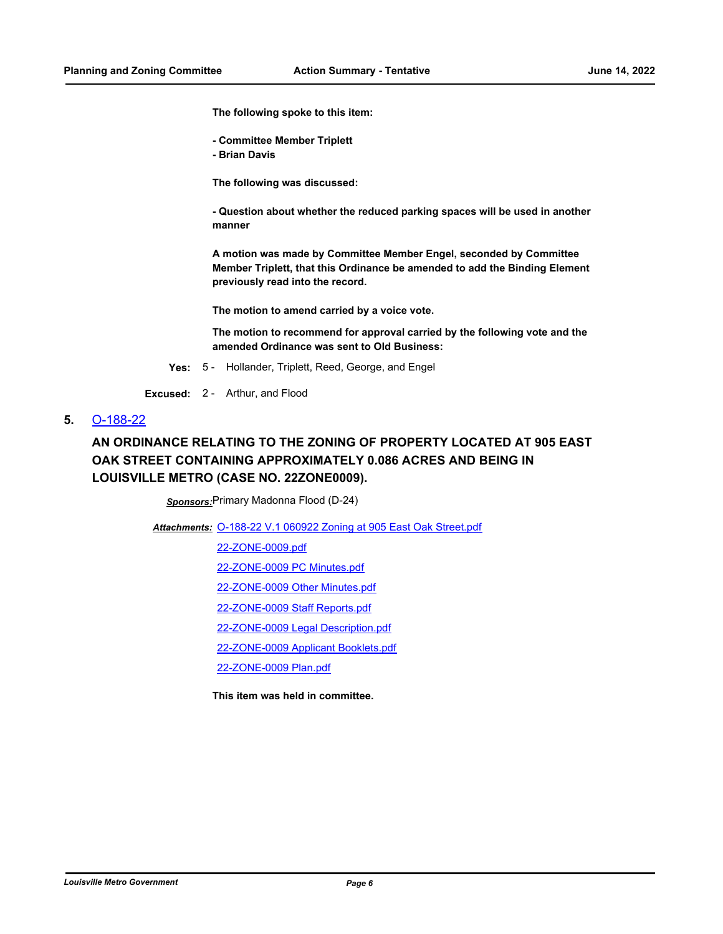**The following spoke to this item:**

- **Committee Member Triplett**
- **Brian Davis**

**The following was discussed:**

**- Question about whether the reduced parking spaces will be used in another manner**

**A motion was made by Committee Member Engel, seconded by Committee Member Triplett, that this Ordinance be amended to add the Binding Element previously read into the record.**

**The motion to amend carried by a voice vote.**

**The motion to recommend for approval carried by the following vote and the amended Ordinance was sent to Old Business:**

**Yes:** 5 - Hollander, Triplett, Reed, George, and Engel

**Excused:** 2 - Arthur, and Flood

#### **5.** [O-188-22](http://louisville.legistar.com/gateway.aspx?m=l&id=/matter.aspx?key=60382)

# **AN ORDINANCE RELATING TO THE ZONING OF PROPERTY LOCATED AT 905 EAST OAK STREET CONTAINING APPROXIMATELY 0.086 ACRES AND BEING IN LOUISVILLE METRO (CASE NO. 22ZONE0009).**

*Sponsors:*Primary Madonna Flood (D-24)

Attachments: [O-188-22 V.1 060922 Zoning at 905 East Oak Street.pdf](http://louisville.legistar.com/gateway.aspx?M=F&ID=d8420294-9868-473e-b40e-f82661c173bd.pdf)

[22-ZONE-0009.pdf](http://louisville.legistar.com/gateway.aspx?M=F&ID=ba7c131e-e272-46ed-aa8d-650eb0574ce7.pdf)

[22-ZONE-0009 PC Minutes.pdf](http://louisville.legistar.com/gateway.aspx?M=F&ID=f0131613-bec4-4d9c-9aee-77e3395e1e64.pdf)

[22-ZONE-0009 Other Minutes.pdf](http://louisville.legistar.com/gateway.aspx?M=F&ID=b55394d2-39c7-4602-b37f-9fe1c444eb17.pdf)

[22-ZONE-0009 Staff Reports.pdf](http://louisville.legistar.com/gateway.aspx?M=F&ID=a0786a0e-4ad6-4784-af14-b8afcc293fcc.pdf)

[22-ZONE-0009 Legal Description.pdf](http://louisville.legistar.com/gateway.aspx?M=F&ID=d8e5ff4e-a368-4bb7-be01-6ac31c42f602.pdf)

[22-ZONE-0009 Applicant Booklets.pdf](http://louisville.legistar.com/gateway.aspx?M=F&ID=9a998688-db0d-4ef4-8636-e93db0554a44.pdf)

[22-ZONE-0009 Plan.pdf](http://louisville.legistar.com/gateway.aspx?M=F&ID=fb57cc00-c167-4558-817e-31e074b2bba1.pdf)

**This item was held in committee.**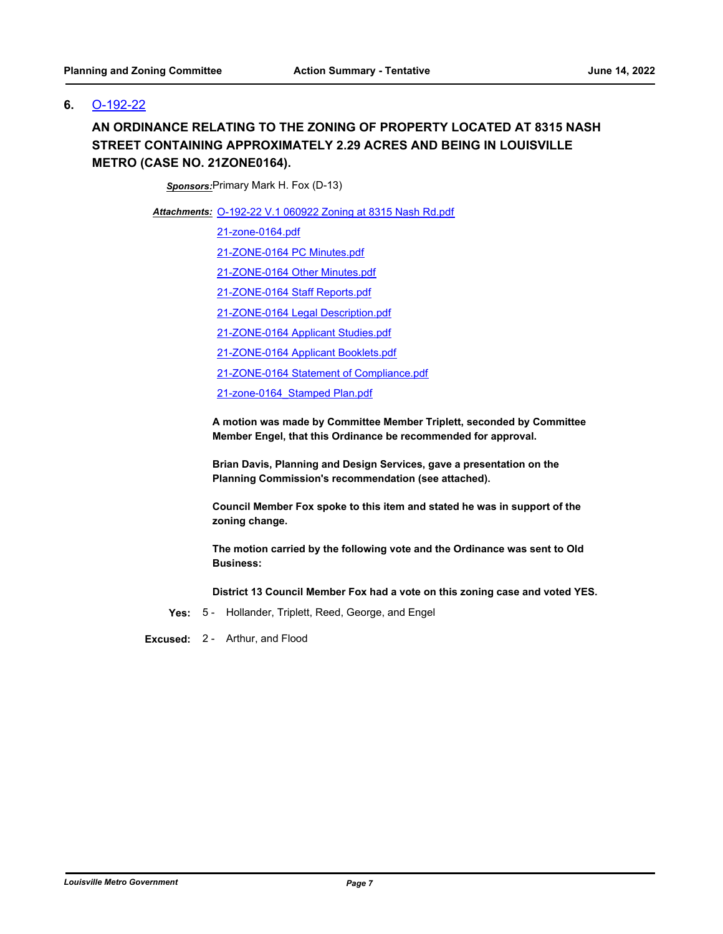## **6.** [O-192-22](http://louisville.legistar.com/gateway.aspx?m=l&id=/matter.aspx?key=60396)

## **AN ORDINANCE RELATING TO THE ZONING OF PROPERTY LOCATED AT 8315 NASH STREET CONTAINING APPROXIMATELY 2.29 ACRES AND BEING IN LOUISVILLE METRO (CASE NO. 21ZONE0164).**

*Sponsors:*Primary Mark H. Fox (D-13)

[O-192-22 V.1 060922 Zoning at 8315 Nash Rd.pdf](http://louisville.legistar.com/gateway.aspx?M=F&ID=09f8058d-24a5-4507-b9b7-ad65bf8e2522.pdf) *Attachments:*

[21-zone-0164.pdf](http://louisville.legistar.com/gateway.aspx?M=F&ID=6de84f73-4d39-4713-9427-b2efdcf89e35.pdf)

[21-ZONE-0164 PC Minutes.pdf](http://louisville.legistar.com/gateway.aspx?M=F&ID=ecdb9f8a-3c94-43f4-b760-f92e695dc0dd.pdf)

[21-ZONE-0164 Other Minutes.pdf](http://louisville.legistar.com/gateway.aspx?M=F&ID=3e8d97b4-d5e0-4cd0-9cd8-de0e8ae7472a.pdf)

[21-ZONE-0164 Staff Reports.pdf](http://louisville.legistar.com/gateway.aspx?M=F&ID=028afce5-1702-43a6-aa0f-658c7498f871.pdf)

[21-ZONE-0164 Legal Description.pdf](http://louisville.legistar.com/gateway.aspx?M=F&ID=46a3683e-f94e-4718-a047-59e7aa16bbea.pdf)

[21-ZONE-0164 Applicant Studies.pdf](http://louisville.legistar.com/gateway.aspx?M=F&ID=8fb54a0d-33b4-45b0-be3a-026e21b44483.pdf)

[21-ZONE-0164 Applicant Booklets.pdf](http://louisville.legistar.com/gateway.aspx?M=F&ID=74d599ba-9daa-4246-8286-39b16f584f77.pdf)

[21-ZONE-0164 Statement of Compliance.pdf](http://louisville.legistar.com/gateway.aspx?M=F&ID=42b4ee7a-21bf-4648-a82b-033f4315105e.pdf)

[21-zone-0164\\_Stamped Plan.pdf](http://louisville.legistar.com/gateway.aspx?M=F&ID=290d00b8-a59f-47a2-b5a7-feb80689a808.pdf)

**A motion was made by Committee Member Triplett, seconded by Committee Member Engel, that this Ordinance be recommended for approval.** 

**Brian Davis, Planning and Design Services, gave a presentation on the Planning Commission's recommendation (see attached).**

**Council Member Fox spoke to this item and stated he was in support of the zoning change.**

**The motion carried by the following vote and the Ordinance was sent to Old Business:**

**District 13 Council Member Fox had a vote on this zoning case and voted YES.**

**Yes:** 5 - Hollander, Triplett, Reed, George, and Engel

**Excused:** 2 - Arthur, and Flood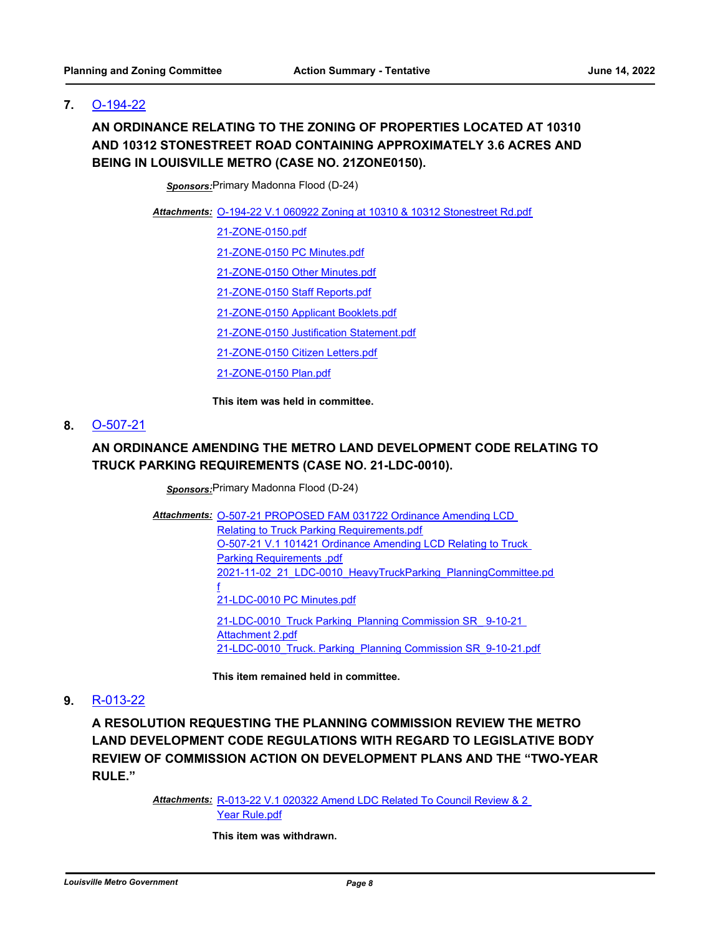## **7.** [O-194-22](http://louisville.legistar.com/gateway.aspx?m=l&id=/matter.aspx?key=60400)

# **AN ORDINANCE RELATING TO THE ZONING OF PROPERTIES LOCATED AT 10310 AND 10312 STONESTREET ROAD CONTAINING APPROXIMATELY 3.6 ACRES AND BEING IN LOUISVILLE METRO (CASE NO. 21ZONE0150).**

*Sponsors:*Primary Madonna Flood (D-24)

[O-194-22 V.1 060922 Zoning at 10310 & 10312 Stonestreet Rd.pdf](http://louisville.legistar.com/gateway.aspx?M=F&ID=e52b594a-ddfc-4125-9a49-d694fdd8165c.pdf) *Attachments:*

[21-ZONE-0150.pdf](http://louisville.legistar.com/gateway.aspx?M=F&ID=a5f1c1f2-d356-4978-9fc4-3a1764cb31d4.pdf)

[21-ZONE-0150 PC Minutes.pdf](http://louisville.legistar.com/gateway.aspx?M=F&ID=f27d6444-9f4a-438b-891a-409202c9274f.pdf)

[21-ZONE-0150 Other Minutes.pdf](http://louisville.legistar.com/gateway.aspx?M=F&ID=69089788-1e70-41c8-a342-0ece5c1a832a.pdf)

[21-ZONE-0150 Staff Reports.pdf](http://louisville.legistar.com/gateway.aspx?M=F&ID=3d99d4b8-28d4-4c80-b2b2-a9dc4d7e6cdc.pdf)

[21-ZONE-0150 Applicant Booklets.pdf](http://louisville.legistar.com/gateway.aspx?M=F&ID=39d6a967-99da-4882-a043-64586a00f882.pdf)

[21-ZONE-0150 Justification Statement.pdf](http://louisville.legistar.com/gateway.aspx?M=F&ID=c40398a7-a38a-438c-aa4d-7f713226196a.pdf)

[21-ZONE-0150 Citizen Letters.pdf](http://louisville.legistar.com/gateway.aspx?M=F&ID=bea687c3-6add-461b-a6da-65e3018da4ef.pdf)

[21-ZONE-0150 Plan.pdf](http://louisville.legistar.com/gateway.aspx?M=F&ID=85f8d3bd-474d-4f85-bf98-1b4e638f9ea1.pdf)

**This item was held in committee.**

#### **8.** [O-507-21](http://louisville.legistar.com/gateway.aspx?m=l&id=/matter.aspx?key=58601)

## **AN ORDINANCE AMENDING THE METRO LAND DEVELOPMENT CODE RELATING TO TRUCK PARKING REQUIREMENTS (CASE NO. 21-LDC-0010).**

*Sponsors:*Primary Madonna Flood (D-24)

Attachments: O-507-21 PROPOSED FAM 031722 Ordinance Amending LCD

Relating to Truck Parking Requirements.pdf [O-507-21 V.1 101421 Ordinance Amending LCD Relating to Truck](http://louisville.legistar.com/gateway.aspx?M=F&ID=c4679b46-b685-4805-aaa2-319f64e665e5.pdf)  Parking Requirements .pdf [2021-11-02\\_21\\_LDC-0010\\_HeavyTruckParking\\_PlanningCommittee.pd](http://louisville.legistar.com/gateway.aspx?M=F&ID=1f12209e-89cc-4783-9a83-be55ad596f70.pdf) f [21-LDC-0010 PC Minutes.pdf](http://louisville.legistar.com/gateway.aspx?M=F&ID=eab53097-7e52-4b99-8d26-77f7507f4c03.pdf) [21-LDC-0010\\_Truck Parking\\_Planning Commission SR\\_ 9-10-21](http://louisville.legistar.com/gateway.aspx?M=F&ID=74931fe8-ffb6-4ae9-b484-ab7e875da3bf.pdf)  Attachment 2.pdf [21-LDC-0010\\_Truck. Parking\\_Planning Commission SR\\_9-10-21.pdf](http://louisville.legistar.com/gateway.aspx?M=F&ID=66346a20-a434-4c23-bfa1-1d5b69f02c3b.pdf)

**This item remained held in committee.**

#### **9.** [R-013-22](http://louisville.legistar.com/gateway.aspx?m=l&id=/matter.aspx?key=59464)

**A RESOLUTION REQUESTING THE PLANNING COMMISSION REVIEW THE METRO LAND DEVELOPMENT CODE REGULATIONS WITH REGARD TO LEGISLATIVE BODY REVIEW OF COMMISSION ACTION ON DEVELOPMENT PLANS AND THE "TWO-YEAR RULE."**

> Attachments: R-013-22 V.1 020322 Amend LDC Related To Council Review & 2 Year Rule.pdf

> > **This item was withdrawn.**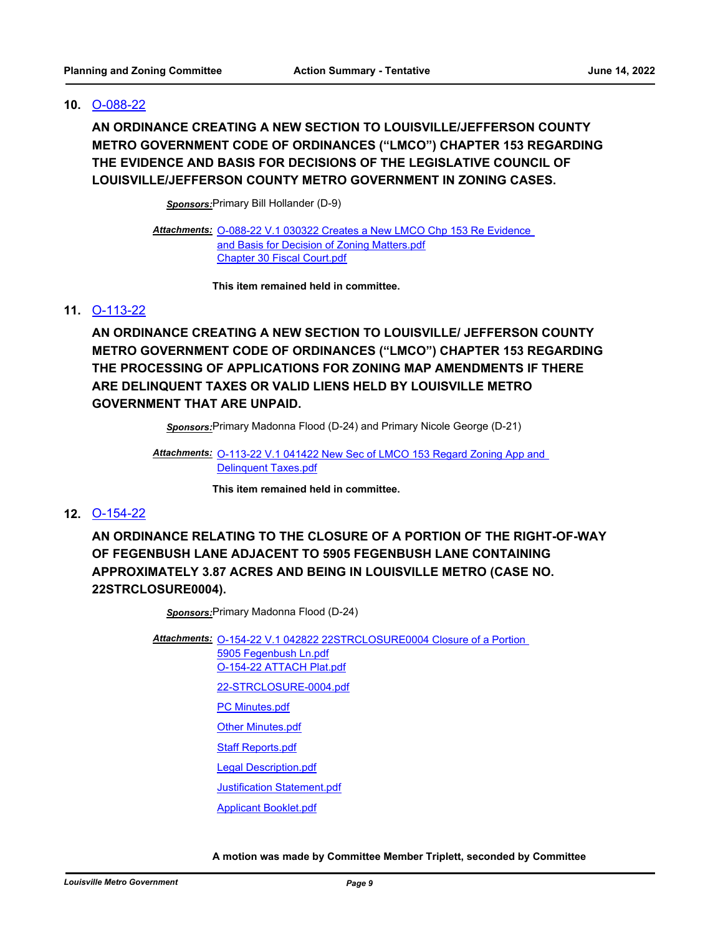#### **10.** [O-088-22](http://louisville.legistar.com/gateway.aspx?m=l&id=/matter.aspx?key=59718)

**AN ORDINANCE CREATING A NEW SECTION TO LOUISVILLE/JEFFERSON COUNTY METRO GOVERNMENT CODE OF ORDINANCES ("LMCO") CHAPTER 153 REGARDING THE EVIDENCE AND BASIS FOR DECISIONS OF THE LEGISLATIVE COUNCIL OF LOUISVILLE/JEFFERSON COUNTY METRO GOVERNMENT IN ZONING CASES.**

*Sponsors:*Primary Bill Hollander (D-9)

Attachments: O-088-22 V.1 030322 Creates a New LMCO Chp 153 Re Evidence and Basis for Decision of Zoning Matters.pdf [Chapter 30 Fiscal Court.pdf](http://louisville.legistar.com/gateway.aspx?M=F&ID=3cac2ee0-f77b-4356-ac36-00aea79968d7.pdf)

**This item remained held in committee.**

#### **11.** [O-113-22](http://louisville.legistar.com/gateway.aspx?m=l&id=/matter.aspx?key=59837)

**AN ORDINANCE CREATING A NEW SECTION TO LOUISVILLE/ JEFFERSON COUNTY METRO GOVERNMENT CODE OF ORDINANCES ("LMCO") CHAPTER 153 REGARDING THE PROCESSING OF APPLICATIONS FOR ZONING MAP AMENDMENTS IF THERE ARE DELINQUENT TAXES OR VALID LIENS HELD BY LOUISVILLE METRO GOVERNMENT THAT ARE UNPAID.**

*Sponsors:*Primary Madonna Flood (D-24) and Primary Nicole George (D-21)

Attachments: **O-113-22 V.1 041422 New Sec of LMCO 153 Regard Zoning App and** Delinquent Taxes.pdf

**This item remained held in committee.**

### **12.** [O-154-22](http://louisville.legistar.com/gateway.aspx?m=l&id=/matter.aspx?key=60159)

**AN ORDINANCE RELATING TO THE CLOSURE OF A PORTION OF THE RIGHT-OF-WAY OF FEGENBUSH LANE ADJACENT TO 5905 FEGENBUSH LANE CONTAINING APPROXIMATELY 3.87 ACRES AND BEING IN LOUISVILLE METRO (CASE NO. 22STRCLOSURE0004).**

*Sponsors:*Primary Madonna Flood (D-24)

Attachments: 0-154-22 V.1 042822 22STRCLOSURE0004 Closure of a Portion 5905 Fegenbush Ln.pdf [O-154-22 ATTACH Plat.pdf](http://louisville.legistar.com/gateway.aspx?M=F&ID=3d14815c-cc13-4ae4-a58b-f1a6e59a1210.pdf) [22-STRCLOSURE-0004.pdf](http://louisville.legistar.com/gateway.aspx?M=F&ID=8d4e898f-1ea8-46df-8289-434e0a0c8647.pdf) [PC Minutes.pdf](http://louisville.legistar.com/gateway.aspx?M=F&ID=b9d7af87-31f2-4061-9168-0538bb295740.pdf) **[Other Minutes.pdf](http://louisville.legistar.com/gateway.aspx?M=F&ID=fa28e62f-9fea-4ab2-b3ad-b8b832a03e14.pdf)** [Staff Reports.pdf](http://louisville.legistar.com/gateway.aspx?M=F&ID=0f655504-18f1-45bb-aace-3be4ae7dae6a.pdf) [Legal Description.pdf](http://louisville.legistar.com/gateway.aspx?M=F&ID=4e14b0a1-b0a2-492f-919a-9b5e868a1e28.pdf) [Justification Statement.pdf](http://louisville.legistar.com/gateway.aspx?M=F&ID=79b89630-15ec-4e8c-a94b-90bf633eb36c.pdf) [Applicant Booklet.pdf](http://louisville.legistar.com/gateway.aspx?M=F&ID=83b26967-12c0-4b0f-b379-e1dbf7e280fe.pdf)

**A motion was made by Committee Member Triplett, seconded by Committee**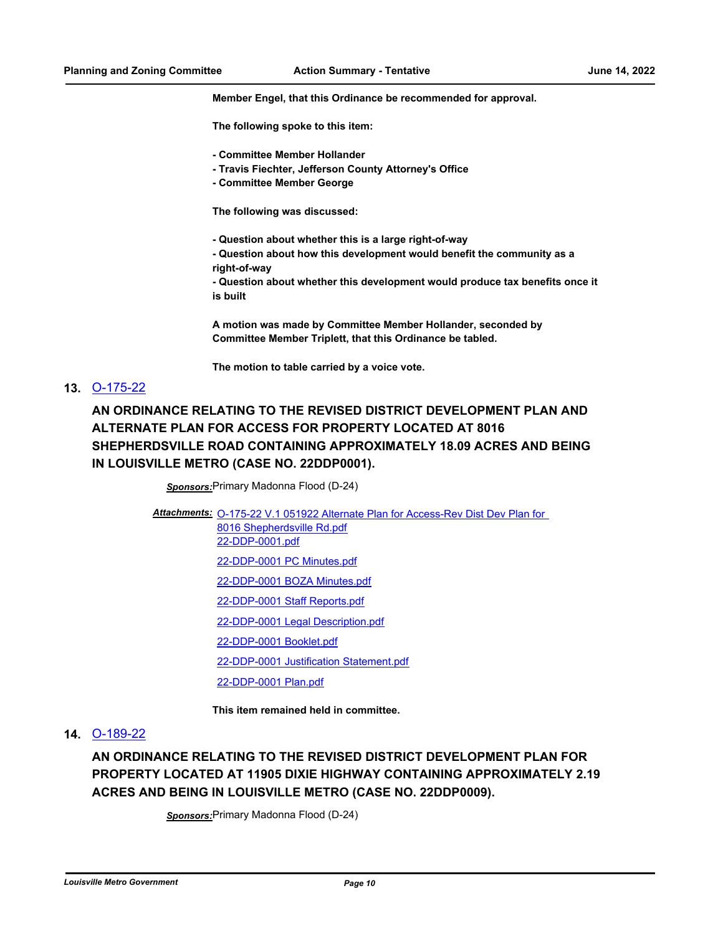**Member Engel, that this Ordinance be recommended for approval.**

**The following spoke to this item:**

- **Committee Member Hollander**
- **Travis Fiechter, Jefferson County Attorney's Office**
- **Committee Member George**

**The following was discussed:**

- **Question about whether this is a large right-of-way**
- **Question about how this development would benefit the community as a right-of-way**
- **Question about whether this development would produce tax benefits once it is built**

**A motion was made by Committee Member Hollander, seconded by Committee Member Triplett, that this Ordinance be tabled.**

**The motion to table carried by a voice vote.**

#### **13.** [O-175-22](http://louisville.legistar.com/gateway.aspx?m=l&id=/matter.aspx?key=60286)

**AN ORDINANCE RELATING TO THE REVISED DISTRICT DEVELOPMENT PLAN AND ALTERNATE PLAN FOR ACCESS FOR PROPERTY LOCATED AT 8016 SHEPHERDSVILLE ROAD CONTAINING APPROXIMATELY 18.09 ACRES AND BEING IN LOUISVILLE METRO (CASE NO. 22DDP0001).**

*Sponsors:*Primary Madonna Flood (D-24)

Attachments: O-175-22 V.1 051922 Alternate Plan for Access-Rev Dist Dev Plan for 8016 Shepherdsville Rd.pdf [22-DDP-0001.pdf](http://louisville.legistar.com/gateway.aspx?M=F&ID=c052c22c-8148-41df-ac51-21bd94b3e306.pdf) [22-DDP-0001 PC Minutes.pdf](http://louisville.legistar.com/gateway.aspx?M=F&ID=2b2ae3ce-85e5-4d02-aed3-61028260c986.pdf) [22-DDP-0001 BOZA Minutes.pdf](http://louisville.legistar.com/gateway.aspx?M=F&ID=3efbdcf7-b256-4139-86fb-3942977d28c5.pdf) [22-DDP-0001 Staff Reports.pdf](http://louisville.legistar.com/gateway.aspx?M=F&ID=56edb465-5384-40db-ac91-d5a775eb4206.pdf) [22-DDP-0001 Legal Description.pdf](http://louisville.legistar.com/gateway.aspx?M=F&ID=32a10203-ca13-4560-9c6d-3e10aece6549.pdf) [22-DDP-0001 Booklet.pdf](http://louisville.legistar.com/gateway.aspx?M=F&ID=13e1b941-e5bf-4f28-b270-eaf433d6807e.pdf) [22-DDP-0001 Justification Statement.pdf](http://louisville.legistar.com/gateway.aspx?M=F&ID=e69ca133-b0ee-48dc-a85c-2dcb2e057643.pdf) [22-DDP-0001 Plan.pdf](http://louisville.legistar.com/gateway.aspx?M=F&ID=67652875-5c69-4701-94d8-a4a32ea6edb8.pdf)

**This item remained held in committee.**

### **14.** [O-189-22](http://louisville.legistar.com/gateway.aspx?m=l&id=/matter.aspx?key=60383)

**AN ORDINANCE RELATING TO THE REVISED DISTRICT DEVELOPMENT PLAN FOR PROPERTY LOCATED AT 11905 DIXIE HIGHWAY CONTAINING APPROXIMATELY 2.19 ACRES AND BEING IN LOUISVILLE METRO (CASE NO. 22DDP0009).**

*Sponsors:*Primary Madonna Flood (D-24)